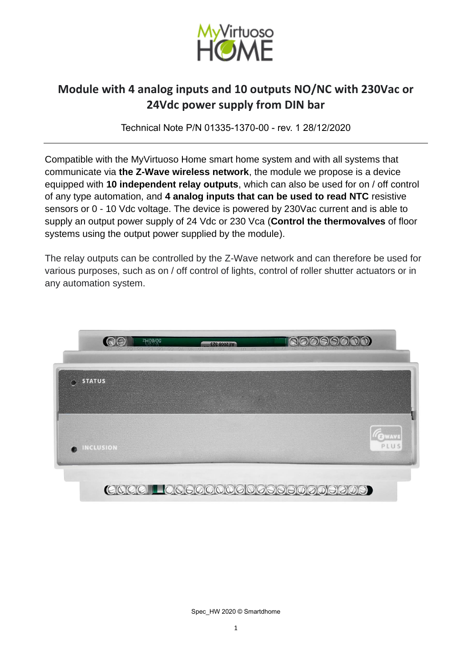

Technical Note P/N 01335-1370-00 - rev. 1 28/12/2020

Compatible with the MyVirtuoso Home smart home system and with all systems that communicate via **the Z-Wave wireless network**, the module we propose is a device equipped with **10 independent relay outputs**, which can also be used for on / off control of any type automation, and **4 analog inputs that can be used to read NTC** resistive sensors or 0 - 10 Vdc voltage. The device is powered by 230Vac current and is able to supply an output power supply of 24 Vdc or 230 Vca (**Control the thermovalves** of floor systems using the output power supplied by the module).

The relay outputs can be controlled by the Z-Wave network and can therefore be used for various purposes, such as on / off control of lights, control of roller shutter actuators or in any automation system.



Spec\_HW 2020 © Smartdhome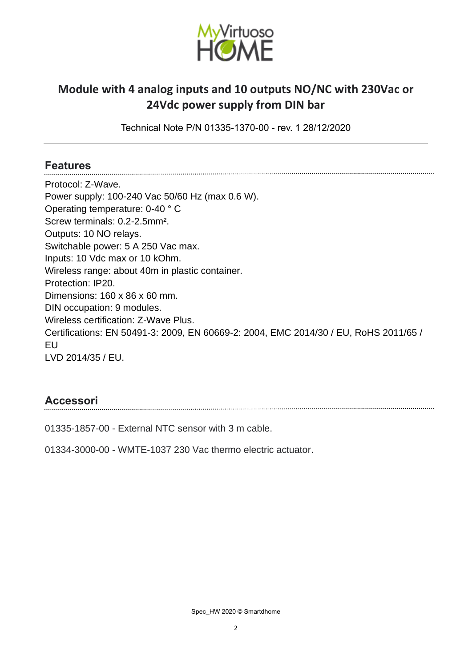

Technical Note P/N 01335-1370-00 - rev. 1 28/12/2020

#### **Features**

Protocol: Z-Wave. Power supply: 100-240 Vac 50/60 Hz (max 0.6 W). Operating temperature: 0-40 ° C Screw terminals: 0.2-2.5mm². Outputs: 10 NO relays. Switchable power: 5 A 250 Vac max. Inputs: 10 Vdc max or 10 kOhm. Wireless range: about 40m in plastic container. Protection: IP20. Dimensions: 160 x 86 x 60 mm. DIN occupation: 9 modules. Wireless certification: Z-Wave Plus. Certifications: EN 50491-3: 2009, EN 60669-2: 2004, EMC 2014/30 / EU, RoHS 2011/65 / EU LVD 2014/35 / EU.

### **Accessori**

01335-1857-00 - External NTC sensor with 3 m cable.

01334-3000-00 - WMTE-1037 230 Vac thermo electric actuator.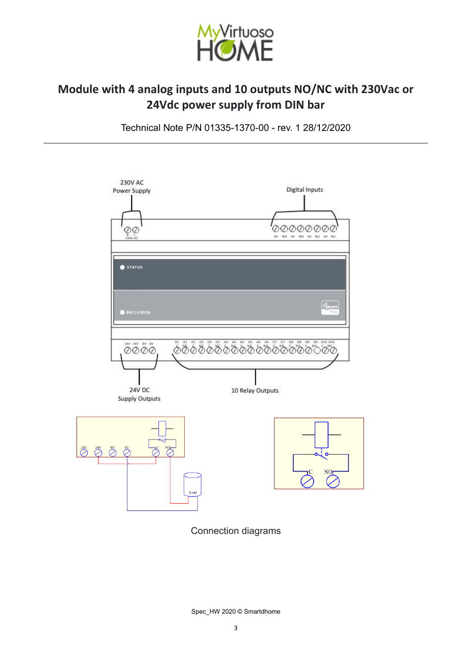

Technical Note P/N 01335-1370-00 - rev. 1 28/12/2020



Connection diagrams

Spec\_HW 2020 © Smartdhome